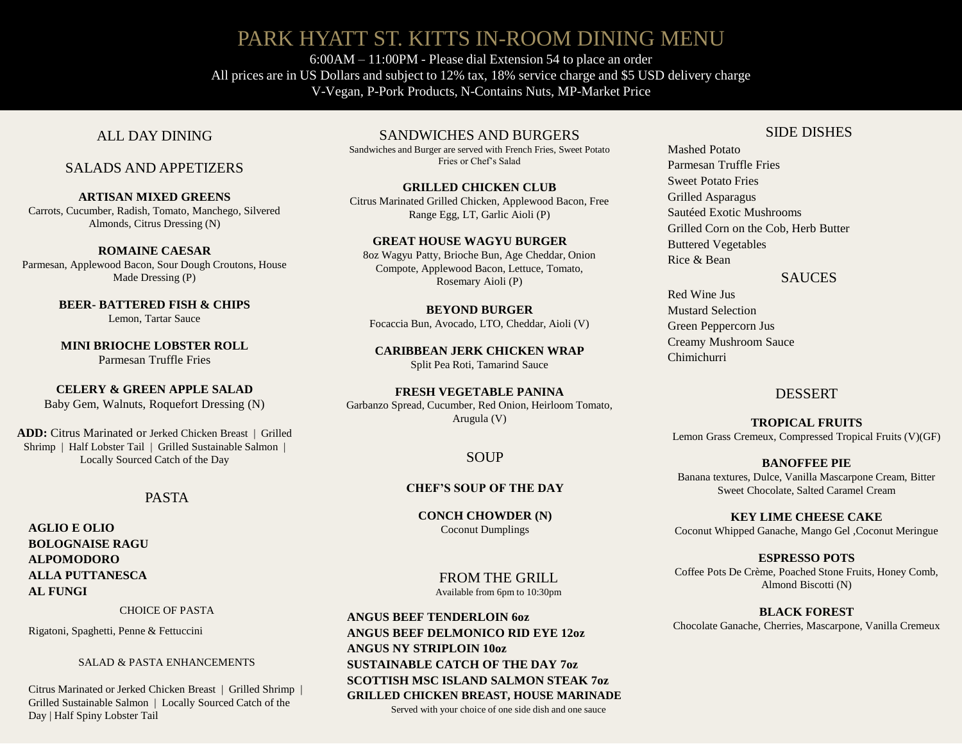# PARK HYATT ST. KITTS IN-ROOM DINING MENU

6:00AM – 11:00PM - Please dial Extension 54 to place an order All prices are in US Dollars and subject to 12% tax, 18% service charge and \$5 USD delivery charge V-Vegan, P-Pork Products, N-Contains Nuts, MP-Market Price

# ALL DAY DINING

## SALADS AND APPETIZERS

**ARTISAN MIXED GREENS** Carrots, Cucumber, Radish, Tomato, Manchego, Silvered Almonds, Citrus Dressing (N)

**ROMAINE CAESAR** Parmesan, Applewood Bacon, Sour Dough Croutons, House Made Dressing (P)

> **BEER- BATTERED FISH & CHIPS** Lemon, Tartar Sauce

> **MINI BRIOCHE LOBSTER ROLL** Parmesan Truffle Fries

**CELERY & GREEN APPLE SALAD** Baby Gem, Walnuts, Roquefort Dressing (N)

**ADD:** Citrus Marinated or Jerked Chicken Breast | Grilled Shrimp | Half Lobster Tail | Grilled Sustainable Salmon | Locally Sourced Catch of the Day SOUP

# PASTA

**AGLIO E OLIO BOLOGNAISE RAGU ALPOMODORO ALLA PUTTANESCA AL FUNGI** 

CHOICE OF PASTA

Rigatoni, Spaghetti, Penne & Fettuccini

SALAD & PASTA ENHANCEMENTS

Citrus Marinated or Jerked Chicken Breast | Grilled Shrimp | Grilled Sustainable Salmon | Locally Sourced Catch of the Day | Half Spiny Lobster Tail

SANDWICHES AND BURGERS

Sandwiches and Burger are served with French Fries, Sweet Potato Fries or Chef's Salad

**GRILLED CHICKEN CLUB** Citrus Marinated Grilled Chicken, Applewood Bacon, Free Range Egg, LT, Garlic Aioli (P)

### **GREAT HOUSE WAGYU BURGER**

8oz Wagyu Patty, Brioche Bun, Age Cheddar, Onion Compote, Applewood Bacon, Lettuce, Tomato, Rosemary Aioli (P)

**BEYOND BURGER** Focaccia Bun, Avocado, LTO, Cheddar, Aioli (V)

**CARIBBEAN JERK CHICKEN WRAP** Split Pea Roti, Tamarind Sauce

**FRESH VEGETABLE PANINA** Garbanzo Spread, Cucumber, Red Onion, Heirloom Tomato, Arugula (V)

### **CHEF'S SOUP OF THE DAY**

**CONCH CHOWDER (N)** Coconut Dumplings

> FROM THE GRILL Available from 6pm to 10:30pm

**ANGUS BEEF TENDERLOIN 6oz ANGUS BEEF DELMONICO RID EYE 12oz ANGUS NY STRIPLOIN 10oz SUSTAINABLE CATCH OF THE DAY 7oz SCOTTISH MSC ISLAND SALMON STEAK 7oz GRILLED CHICKEN BREAST, HOUSE MARINADE**  Served with your choice of one side dish and one sauce

### SIDE DISHES

Mashed Potato Parmesan Truffle Fries Sweet Potato Fries Grilled Asparagus Sautéed Exotic Mushrooms Grilled Corn on the Cob, Herb Butter Buttered Vegetables Rice & Bean

### SAUCES

Red Wine Jus Mustard Selection Green Peppercorn Jus Creamy Mushroom Sauce Chimichurri

### DESSERT

**TROPICAL FRUITS** Lemon Grass Cremeux, Compressed Tropical Fruits (V)(GF)

**BANOFFEE PIE** Banana textures, Dulce, Vanilla Mascarpone Cream, Bitter Sweet Chocolate, Salted Caramel Cream

**KEY LIME CHEESE CAKE** Coconut Whipped Ganache, Mango Gel ,Coconut Meringue

**ESPRESSO POTS**  Coffee Pots De Crème, Poached Stone Fruits, Honey Comb, Almond Biscotti (N)

**BLACK FOREST**  Chocolate Ganache, Cherries, Mascarpone, Vanilla Cremeux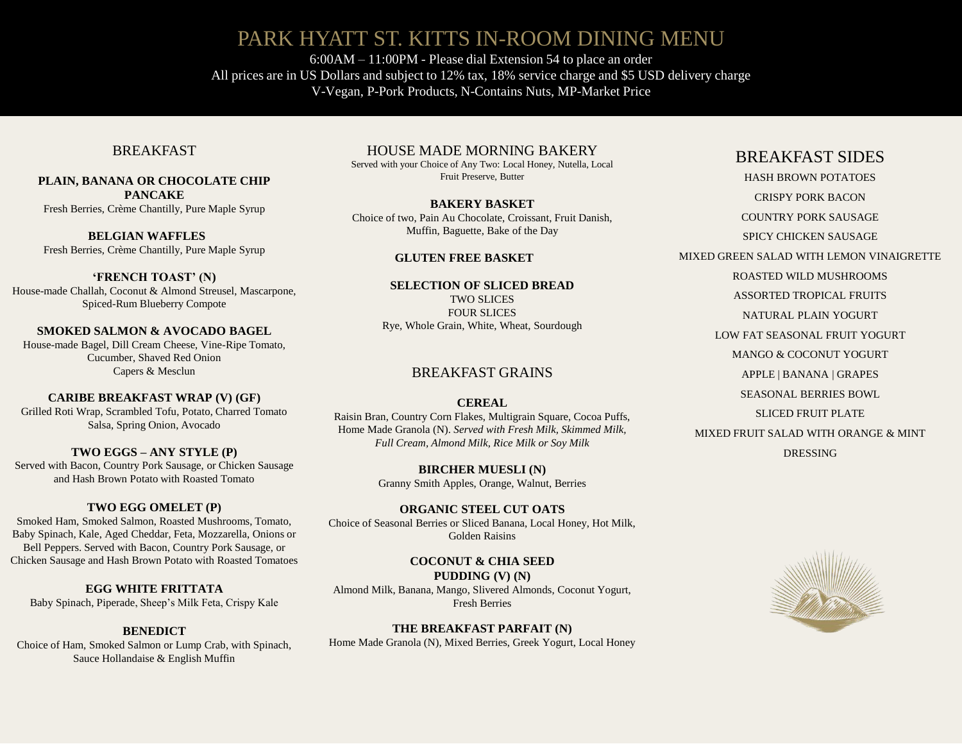# PARK HYATT ST. KITTS IN-ROOM DINING MENU

6:00AM – 11:00PM - Please dial Extension 54 to place an order All prices are in US Dollars and subject to 12% tax, 18% service charge and \$5 USD delivery charge V-Vegan, P-Pork Products, N-Contains Nuts, MP-Market Price

### BREAKFAST

#### **PLAIN, BANANA OR CHOCOLATE CHIP PANCAKE**  Fresh Berries, Crème Chantilly, Pure Maple Syrup

**BELGIAN WAFFLES** Fresh Berries, Crème Chantilly, Pure Maple Syrup

**'FRENCH TOAST' (N)** House-made Challah, Coconut & Almond Streusel, Mascarpone, Spiced-Rum Blueberry Compote

**SMOKED SALMON & AVOCADO BAGEL** House-made Bagel, Dill Cream Cheese, Vine-Ripe Tomato, Cucumber, Shaved Red Onion Capers & Mesclun

**CARIBE BREAKFAST WRAP (V) (GF)** 

Grilled Roti Wrap, Scrambled Tofu, Potato, Charred Tomato Salsa, Spring Onion, Avocado

**TWO EGGS – ANY STYLE (P)** Served with Bacon, Country Pork Sausage, or Chicken Sausage and Hash Brown Potato with Roasted Tomato

### **TWO EGG OMELET (P)**

Smoked Ham, Smoked Salmon, Roasted Mushrooms, Tomato, Baby Spinach, Kale, Aged Cheddar, Feta, Mozzarella, Onions or Bell Peppers. Served with Bacon, Country Pork Sausage, or Chicken Sausage and Hash Brown Potato with Roasted Tomatoes

**EGG WHITE FRITTATA** Baby Spinach, Piperade, Sheep's Milk Feta, Crispy Kale

#### **BENEDICT**

Choice of Ham, Smoked Salmon or Lump Crab, with Spinach, Sauce Hollandaise & English Muffin

HOUSE MADE MORNING BAKERY

Served with your Choice of Any Two: Local Honey, Nutella, Local Fruit Preserve, Butter

**BAKERY BASKET**  Choice of two, Pain Au Chocolate, Croissant, Fruit Danish, Muffin, Baguette, Bake of the Day

#### **GLUTEN FREE BASKET**

**SELECTION OF SLICED BREAD** TWO SLICES FOUR SLICES Rye, Whole Grain, White, Wheat, Sourdough

### BREAKFAST GRAINS

#### **CEREAL**

Raisin Bran, Country Corn Flakes, Multigrain Square, Cocoa Puffs, Home Made Granola (N). *Served with Fresh Milk, Skimmed Milk, Full Cream, Almond Milk, Rice Milk or Soy Milk*

> **BIRCHER MUESLI (N)** Granny Smith Apples, Orange, Walnut, Berries

**ORGANIC STEEL CUT OATS** Choice of Seasonal Berries or Sliced Banana, Local Honey, Hot Milk, Golden Raisins

**COCONUT & CHIA SEED PUDDING (V) (N)** Almond Milk, Banana, Mango, Slivered Almonds, Coconut Yogurt, Fresh Berries

**THE BREAKFAST PARFAIT (N)** Home Made Granola (N), Mixed Berries, Greek Yogurt, Local Honey

# BREAKFAST SIDES

HASH BROWN POTATOES CRISPY PORK BACON COUNTRY PORK SAUSAGE SPICY CHICKEN SAUSAGE MIXED GREEN SALAD WITH LEMON VINAIGRETTE ROASTED WILD MUSHROOMS ASSORTED TROPICAL FRUITS NATURAL PLAIN YOGURT LOW FAT SEASONAL FRUIT YOGURT MANGO & COCONUT YOGURT APPLE | BANANA | GRAPES SEASONAL BERRIES BOWL SLICED FRUIT PLATE MIXED FRUIT SALAD WITH ORANGE & MINT DRESSING

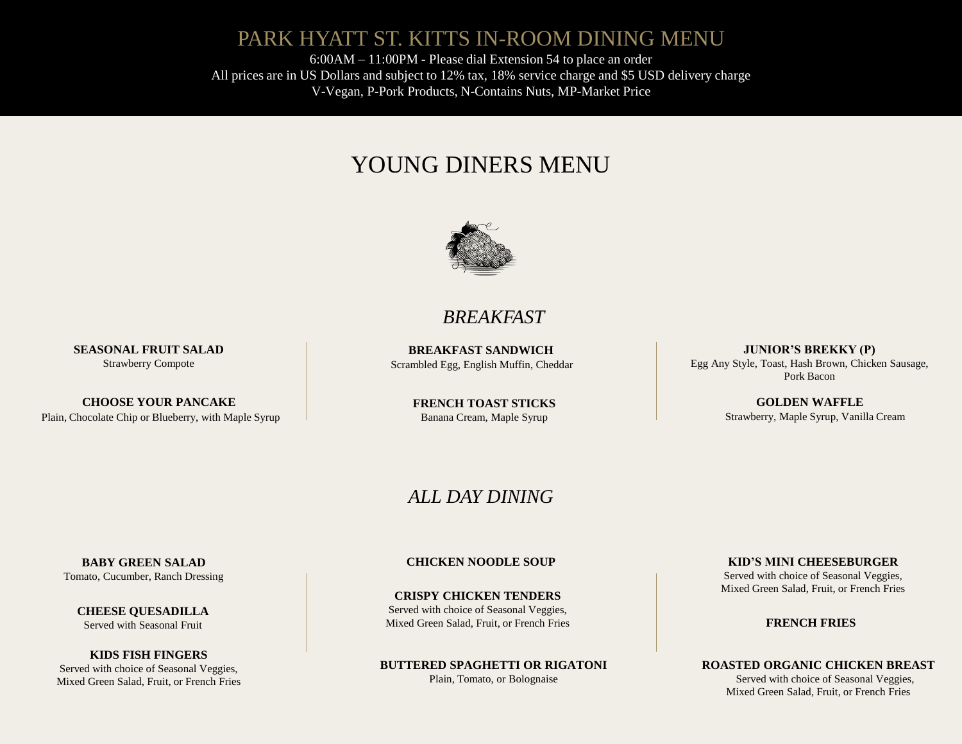# PARK HYATT ST. KITTS IN-ROOM DINING MENU

6:00AM – 11:00PM - Please dial Extension 54 to place an order All prices are in US Dollars and subject to 12% tax, 18% service charge and \$5 USD delivery charge V-Vegan, P-Pork Products, N-Contains Nuts, MP-Market Price

# YOUNG DINERS MENU



# *BREAKFAST*

**BREAKFAST SANDWICH** Scrambled Egg, English Muffin, Cheddar

> **FRENCH TOAST STICKS** Banana Cream, Maple Syrup

**JUNIOR'S BREKKY (P)** Egg Any Style, Toast, Hash Brown, Chicken Sausage, Pork Bacon

> **GOLDEN WAFFLE** Strawberry, Maple Syrup, Vanilla Cream

# *ALL DAY DINING*

Tomato, Cucumber, Ranch Dressing

**SEASONAL FRUIT SALAD** Strawberry Compote

**CHOOSE YOUR PANCAKE** Plain, Chocolate Chip or Blueberry, with Maple Syrup

> **CHEESE QUESADILLA** Served with Seasonal Fruit

**KIDS FISH FINGERS** Served with choice of Seasonal Veggies, Mixed Green Salad, Fruit, or French Fries

### **BABY GREEN SALAD CHICKEN NOODLE SOUP**

**CRISPY CHICKEN TENDERS** Served with choice of Seasonal Veggies, Mixed Green Salad, Fruit, or French Fries

**BUTTERED SPAGHETTI OR RIGATONI** Plain, Tomato, or Bolognaise

**KID'S MINI CHEESEBURGER**

Served with choice of Seasonal Veggies, Mixed Green Salad, Fruit, or French Fries

**FRENCH FRIES**

**ROASTED ORGANIC CHICKEN BREAST**

Served with choice of Seasonal Veggies, Mixed Green Salad, Fruit, or French Fries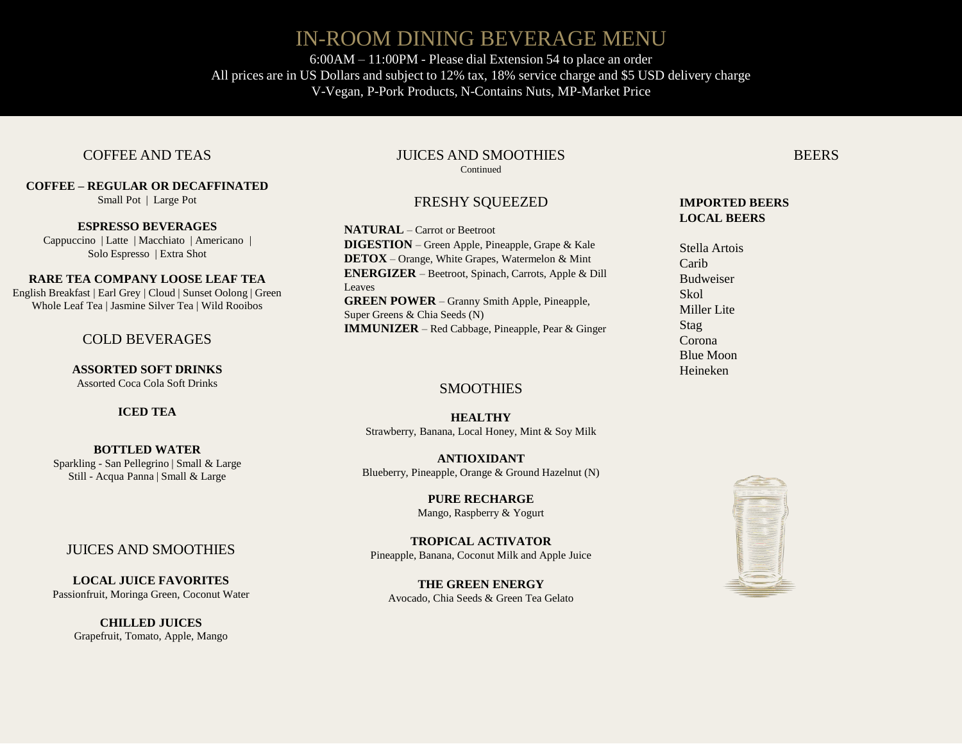# IN-ROOM DINING BEVERAGE MENU

6:00AM – 11:00PM - Please dial Extension 54 to place an order All prices are in US Dollars and subject to 12% tax, 18% service charge and \$5 USD delivery charge V-Vegan, P-Pork Products, N-Contains Nuts, MP-Market Price

### COFFEE AND TEAS

**COFFEE – REGULAR OR DECAFFINATED** 

Small Pot | Large Pot

**ESPRESSO BEVERAGES** Cappuccino | Latte | Macchiato | Americano | Solo Espresso | Extra Shot

#### **RARE TEA COMPANY LOOSE LEAF TEA**

English Breakfast | Earl Grey | Cloud | Sunset Oolong | Green Whole Leaf Tea | Jasmine Silver Tea | Wild Rooibos

### COLD BEVERAGES

**ASSORTED SOFT DRINKS** Assorted Coca Cola Soft Drinks

### **ICED TEA**

**BOTTLED WATER**  Sparkling - San Pellegrino | Small & Large Still - Acqua Panna | Small & Large

### JUICES AND SMOOTHIES

**LOCAL JUICE FAVORITES** Passionfruit, Moringa Green, Coconut Water

> **CHILLED JUICES** Grapefruit, Tomato, Apple, Mango

#### JUICES AND SMOOTHIES **Continued**

# FRESHY SQUEEZED

**NATURAL** – Carrot or Beetroot **DIGESTION** – Green Apple, Pineapple, Grape & Kale **DETOX** – Orange, White Grapes, Watermelon & Mint **ENERGIZER** – Beetroot, Spinach, Carrots, Apple & Dill Leaves **GREEN POWER** – Granny Smith Apple, Pineapple, Super Greens & Chia Seeds (N) **IMMUNIZER** – Red Cabbage, Pineapple, Pear & Ginger

### **SMOOTHIES**

**HEALTHY** Strawberry, Banana, Local Honey, Mint & Soy Milk

**ANTIOXIDANT** Blueberry, Pineapple, Orange & Ground Hazelnut (N)

> **PURE RECHARGE** Mango, Raspberry & Yogurt

**TROPICAL ACTIVATOR** Pineapple, Banana, Coconut Milk and Apple Juice

**THE GREEN ENERGY**  Avocado, Chia Seeds & Green Tea Gelato

### **IMPORTED BEERS LOCAL BEERS**

Stella Artois Carib Budweiser Skol Miller Lite Stag Corona Blue Moon Heineken



**BEERS**